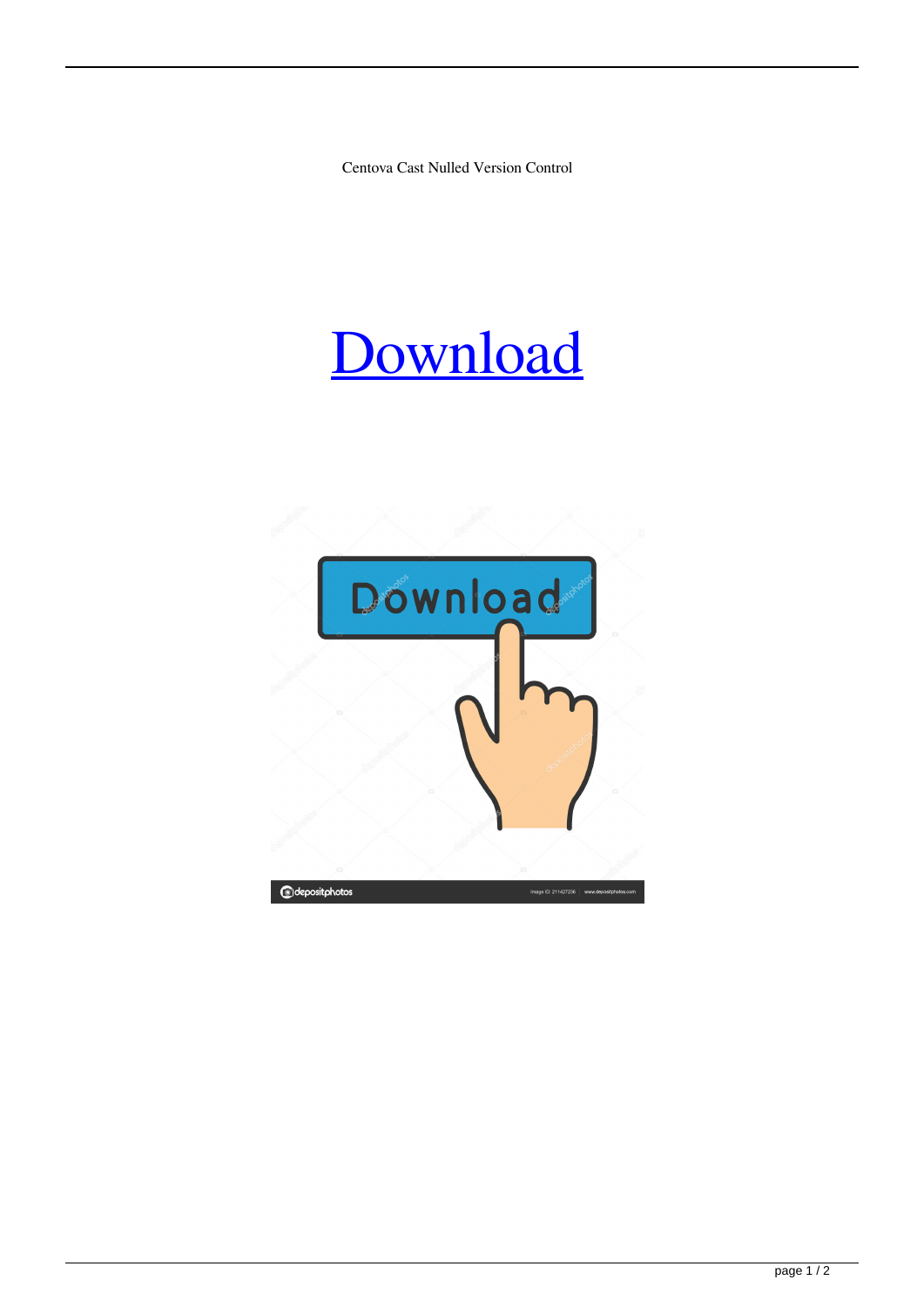Centova Cast Nulled Version Control

## [Download](http://evacdir.com/hypokalemia/lindsayolives.allegra?events=resistence&Y2VudG92YSBjYXN0IG51bGxlZCB2ZXJzaW9uIGNvbnRyb2wY2V=.ZG93bmxvYWR8R1YzTWpodlkzeDhNVFkxTWpjME1EZzJObng4TWpVM05IeDhLRTBwSUhKbFlXUXRZbXh2WnlCYlJtRnpkQ0JIUlU1ZA)